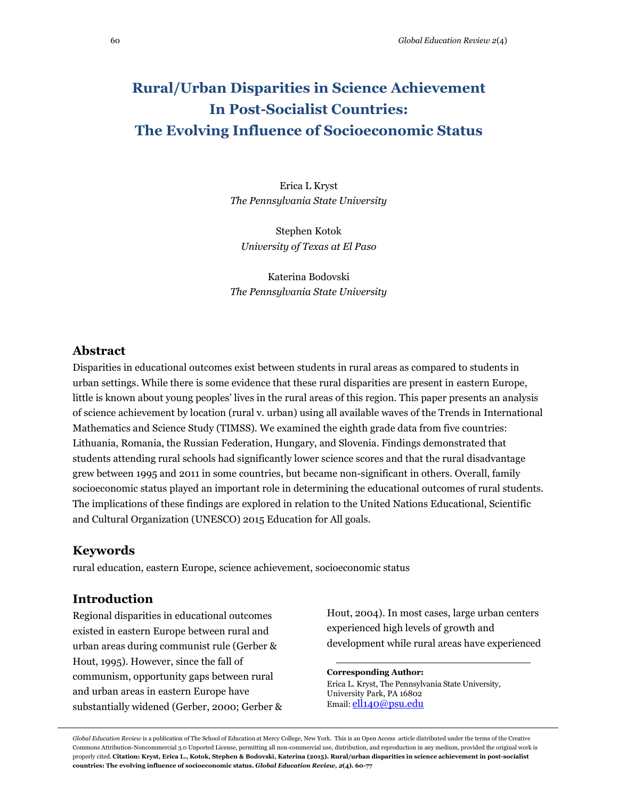# **Rural/Urban Disparities in Science Achievement In Post-Socialist Countries: The Evolving Influence of Socioeconomic Status**

Erica L Kryst *The Pennsylvania State University*

Stephen Kotok *University of Texas at El Paso*

Katerina Bodovski *The Pennsylvania State University*

### **Abstract**

Disparities in educational outcomes exist between students in rural areas as compared to students in urban settings. While there is some evidence that these rural disparities are present in eastern Europe, little is known about young peoples' lives in the rural areas of this region. This paper presents an analysis of science achievement by location (rural v. urban) using all available waves of the Trends in International Mathematics and Science Study (TIMSS). We examined the eighth grade data from five countries: Lithuania, Romania, the Russian Federation, Hungary, and Slovenia. Findings demonstrated that students attending rural schools had significantly lower science scores and that the rural disadvantage grew between 1995 and 2011 in some countries, but became non-significant in others. Overall, family socioeconomic status played an important role in determining the educational outcomes of rural students. The implications of these findings are explored in relation to the United Nations Educational, Scientific and Cultural Organization (UNESCO) 2015 Education for All goals.

### **Keywords**

rural education, eastern Europe, science achievement, socioeconomic status

### **Introduction**

Regional disparities in educational outcomes existed in eastern Europe between rural and urban areas during communist rule (Gerber & Hout, 1995). However, since the fall of communism, opportunity gaps between rural and urban areas in eastern Europe have substantially widened (Gerber, 2000; Gerber & Hout, 2004). In most cases, large urban centers experienced high levels of growth and development while rural areas have experienced

### **Corresponding Author:**

Erica L. Kryst, The Pennsylvania State University, University Park, PA 16802 Email: [ell140@psu.edu](mailto:ell140@psu.edu)

*Global Education Review* is a publication of The School of Education at Mercy College, New York. This is an Open Access article distributed under the terms of the Creative Commons Attribution-Noncommercial 3.0 Unported License, permitting all non-commercial use, distribution, and reproduction in any medium, provided the original work is properly cited. **Citation: Kryst, Erica L., Kotok, Stephen & Bodovski, Katerina (2015). Rural/urban disparities in science achievement in post-socialist countries: The evolving influence of socioeconomic status.** *Global Education Review, 2***(4). 60-77**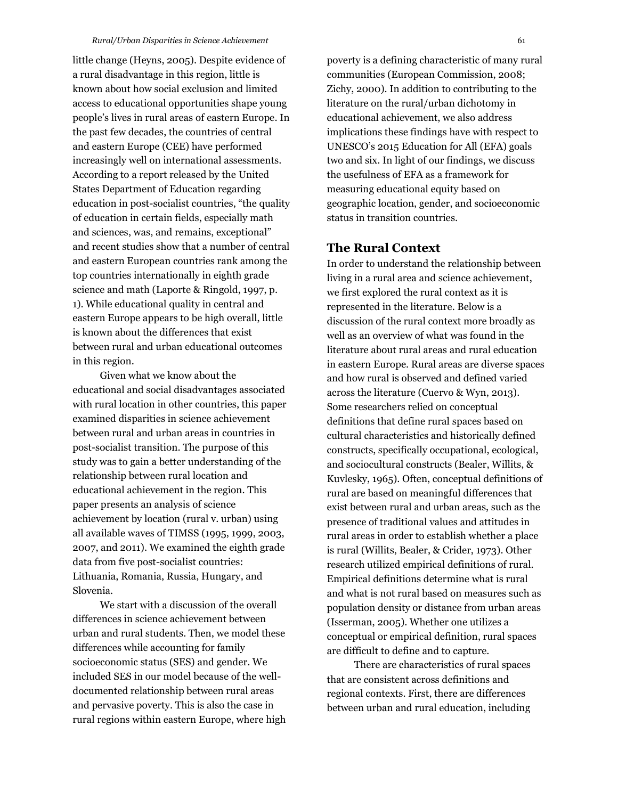little change (Heyns, 2005). Despite evidence of a rural disadvantage in this region, little is known about how social exclusion and limited access to educational opportunities shape young people's lives in rural areas of eastern Europe. In the past few decades, the countries of central and eastern Europe (CEE) have performed increasingly well on international assessments. According to a report released by the United States Department of Education regarding education in post-socialist countries, "the quality of education in certain fields, especially math and sciences, was, and remains, exceptional" and recent studies show that a number of central and eastern European countries rank among the top countries internationally in eighth grade science and math (Laporte & Ringold, 1997, p. 1). While educational quality in central and eastern Europe appears to be high overall, little is known about the differences that exist between rural and urban educational outcomes in this region.

Given what we know about the educational and social disadvantages associated with rural location in other countries, this paper examined disparities in science achievement between rural and urban areas in countries in post-socialist transition. The purpose of this study was to gain a better understanding of the relationship between rural location and educational achievement in the region. This paper presents an analysis of science achievement by location (rural v. urban) using all available waves of TIMSS (1995, 1999, 2003, 2007, and 2011). We examined the eighth grade data from five post-socialist countries: Lithuania, Romania, Russia, Hungary, and Slovenia.

We start with a discussion of the overall differences in science achievement between urban and rural students. Then, we model these differences while accounting for family socioeconomic status (SES) and gender. We included SES in our model because of the welldocumented relationship between rural areas and pervasive poverty. This is also the case in rural regions within eastern Europe, where high

poverty is a defining characteristic of many rural communities (European Commission, 2008; Zichy, 2000). In addition to contributing to the literature on the rural/urban dichotomy in educational achievement, we also address implications these findings have with respect to UNESCO's 2015 Education for All (EFA) goals two and six. In light of our findings, we discuss the usefulness of EFA as a framework for measuring educational equity based on geographic location, gender, and socioeconomic status in transition countries.

### **The Rural Context**

In order to understand the relationship between living in a rural area and science achievement, we first explored the rural context as it is represented in the literature. Below is a discussion of the rural context more broadly as well as an overview of what was found in the literature about rural areas and rural education in eastern Europe. Rural areas are diverse spaces and how rural is observed and defined varied across the literature (Cuervo & Wyn, 2013). Some researchers relied on conceptual definitions that define rural spaces based on cultural characteristics and historically defined constructs, specifically occupational, ecological, and sociocultural constructs (Bealer, Willits, & Kuvlesky, 1965). Often, conceptual definitions of rural are based on meaningful differences that exist between rural and urban areas, such as the presence of traditional values and attitudes in rural areas in order to establish whether a place is rural (Willits, Bealer, & Crider, 1973). Other research utilized empirical definitions of rural. Empirical definitions determine what is rural and what is not rural based on measures such as population density or distance from urban areas (Isserman, 2005). Whether one utilizes a conceptual or empirical definition, rural spaces are difficult to define and to capture.

There are characteristics of rural spaces that are consistent across definitions and regional contexts. First, there are differences between urban and rural education, including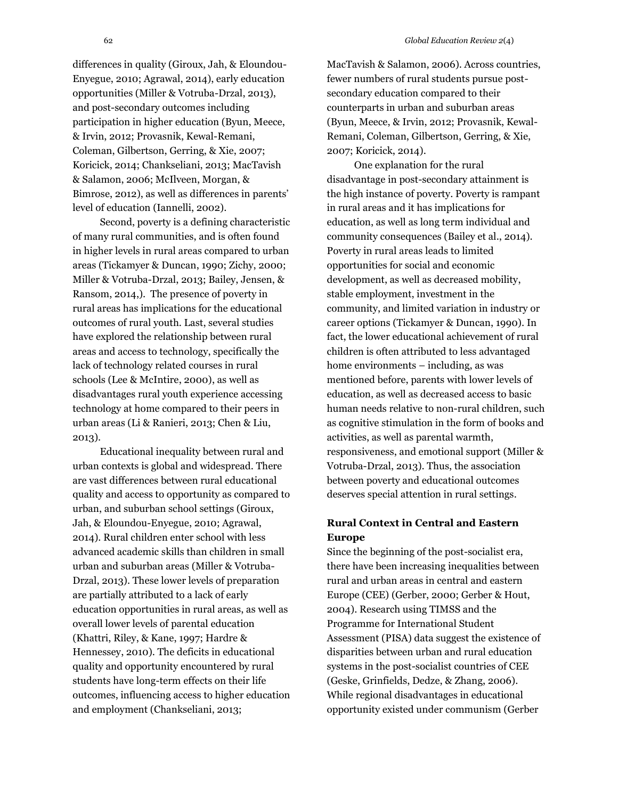differences in quality (Giroux, Jah, & Eloundou-Enyegue, 2010; Agrawal, 2014), early education opportunities (Miller & Votruba-Drzal, 2013), and post-secondary outcomes including participation in higher education (Byun, Meece, & Irvin, 2012; Provasnik, Kewal-Remani, Coleman, Gilbertson, Gerring, & Xie, 2007; Koricick, 2014; Chankseliani, 2013; MacTavish & Salamon, 2006; McIlveen, Morgan, & Bimrose, 2012), as well as differences in parents' level of education (Iannelli, 2002).

Second, poverty is a defining characteristic of many rural communities, and is often found in higher levels in rural areas compared to urban areas (Tickamyer & Duncan, 1990; Zichy, 2000; Miller & Votruba-Drzal, 2013; Bailey, Jensen, & Ransom, 2014,). The presence of poverty in rural areas has implications for the educational outcomes of rural youth. Last, several studies have explored the relationship between rural areas and access to technology, specifically the lack of technology related courses in rural schools (Lee & McIntire, 2000), as well as disadvantages rural youth experience accessing technology at home compared to their peers in urban areas (Li & Ranieri, 2013; Chen & Liu, 2013).

Educational inequality between rural and urban contexts is global and widespread. There are vast differences between rural educational quality and access to opportunity as compared to urban, and suburban school settings (Giroux, Jah, & Eloundou-Enyegue, 2010; Agrawal, 2014). Rural children enter school with less advanced academic skills than children in small urban and suburban areas (Miller & Votruba-Drzal, 2013). These lower levels of preparation are partially attributed to a lack of early education opportunities in rural areas, as well as overall lower levels of parental education (Khattri, Riley, & Kane, 1997; Hardre & Hennessey, 2010). The deficits in educational quality and opportunity encountered by rural students have long-term effects on their life outcomes, influencing access to higher education and employment (Chankseliani, 2013;

MacTavish & Salamon, 2006). Across countries, fewer numbers of rural students pursue postsecondary education compared to their counterparts in urban and suburban areas (Byun, Meece, & Irvin, 2012; Provasnik, Kewal-Remani, Coleman, Gilbertson, Gerring, & Xie, 2007; Koricick, 2014).

One explanation for the rural disadvantage in post-secondary attainment is the high instance of poverty. Poverty is rampant in rural areas and it has implications for education, as well as long term individual and community consequences (Bailey et al., 2014). Poverty in rural areas leads to limited opportunities for social and economic development, as well as decreased mobility, stable employment, investment in the community, and limited variation in industry or career options (Tickamyer & Duncan, 1990). In fact, the lower educational achievement of rural children is often attributed to less advantaged home environments – including, as was mentioned before, parents with lower levels of education, as well as decreased access to basic human needs relative to non-rural children, such as cognitive stimulation in the form of books and activities, as well as parental warmth, responsiveness, and emotional support (Miller & Votruba-Drzal, 2013). Thus, the association between poverty and educational outcomes deserves special attention in rural settings.

### **Rural Context in Central and Eastern Europe**

Since the beginning of the post-socialist era, there have been increasing inequalities between rural and urban areas in central and eastern Europe (CEE) (Gerber, 2000; Gerber & Hout, 2004). Research using TIMSS and the Programme for International Student Assessment (PISA) data suggest the existence of disparities between urban and rural education systems in the post-socialist countries of CEE (Geske, Grinfields, Dedze, & Zhang, 2006). While regional disadvantages in educational opportunity existed under communism (Gerber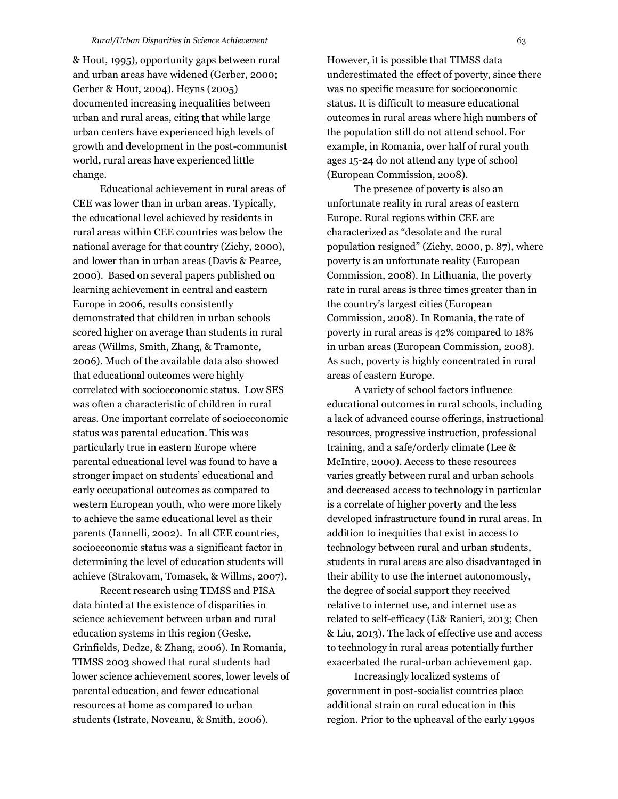& Hout, 1995), opportunity gaps between rural and urban areas have widened (Gerber, 2000; Gerber & Hout, 2004). Heyns (2005) documented increasing inequalities between urban and rural areas, citing that while large urban centers have experienced high levels of growth and development in the post-communist world, rural areas have experienced little change.

Educational achievement in rural areas of CEE was lower than in urban areas. Typically, the educational level achieved by residents in rural areas within CEE countries was below the national average for that country (Zichy, 2000), and lower than in urban areas (Davis & Pearce, 2000). Based on several papers published on learning achievement in central and eastern Europe in 2006, results consistently demonstrated that children in urban schools scored higher on average than students in rural areas (Willms, Smith, Zhang, & Tramonte, 2006). Much of the available data also showed that educational outcomes were highly correlated with socioeconomic status. Low SES was often a characteristic of children in rural areas. One important correlate of socioeconomic status was parental education. This was particularly true in eastern Europe where parental educational level was found to have a stronger impact on students' educational and early occupational outcomes as compared to western European youth, who were more likely to achieve the same educational level as their parents (Iannelli, 2002). In all CEE countries, socioeconomic status was a significant factor in determining the level of education students will achieve (Strakovam, Tomasek, & Willms, 2007).

Recent research using TIMSS and PISA data hinted at the existence of disparities in science achievement between urban and rural education systems in this region (Geske, Grinfields, Dedze, & Zhang, 2006). In Romania, TIMSS 2003 showed that rural students had lower science achievement scores, lower levels of parental education, and fewer educational resources at home as compared to urban students (Istrate, Noveanu, & Smith, 2006).

However, it is possible that TIMSS data underestimated the effect of poverty, since there was no specific measure for socioeconomic status. It is difficult to measure educational outcomes in rural areas where high numbers of the population still do not attend school. For example, in Romania, over half of rural youth ages 15-24 do not attend any type of school (European Commission, 2008).

The presence of poverty is also an unfortunate reality in rural areas of eastern Europe. Rural regions within CEE are characterized as "desolate and the rural population resigned" (Zichy, 2000, p. 87), where poverty is an unfortunate reality (European Commission, 2008). In Lithuania, the poverty rate in rural areas is three times greater than in the country's largest cities (European Commission, 2008). In Romania, the rate of poverty in rural areas is 42% compared to 18% in urban areas (European Commission, 2008). As such, poverty is highly concentrated in rural areas of eastern Europe.

A variety of school factors influence educational outcomes in rural schools, including a lack of advanced course offerings, instructional resources, progressive instruction, professional training, and a safe/orderly climate (Lee & McIntire, 2000). Access to these resources varies greatly between rural and urban schools and decreased access to technology in particular is a correlate of higher poverty and the less developed infrastructure found in rural areas. In addition to inequities that exist in access to technology between rural and urban students, students in rural areas are also disadvantaged in their ability to use the internet autonomously, the degree of social support they received relative to internet use, and internet use as related to self-efficacy (Li& Ranieri, 2013; Chen & Liu, 2013). The lack of effective use and access to technology in rural areas potentially further exacerbated the rural-urban achievement gap.

Increasingly localized systems of government in post-socialist countries place additional strain on rural education in this region. Prior to the upheaval of the early 1990s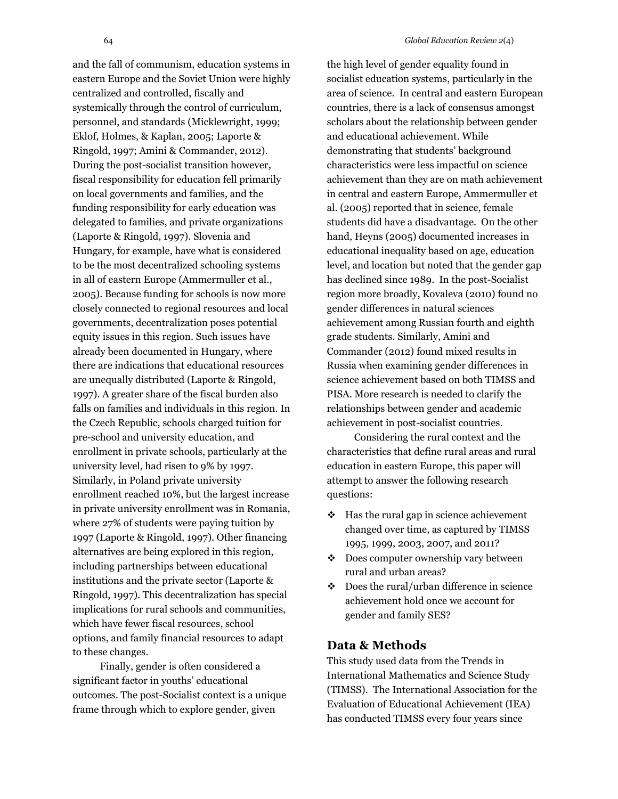and the fall of communism, education systems in eastern Europe and the Soviet Union were highly centralized and controlled, fiscally and systemically through the control of curriculum, personnel, and standards (Micklewright, 1999; Eklof, Holmes, & Kaplan, 2005; Laporte & Ringold, 1997; Amini & Commander, 2012). During the post-socialist transition however, fiscal responsibility for education fell primarily on local governments and families, and the funding responsibility for early education was delegated to families, and private organizations (Laporte & Ringold, 1997). Slovenia and Hungary, for example, have what is considered to be the most decentralized schooling systems in all of eastern Europe (Ammermuller et al., 2005). Because funding for schools is now more closely connected to regional resources and local governments, decentralization poses potential equity issues in this region. Such issues have already been documented in Hungary, where there are indications that educational resources are unequally distributed (Laporte & Ringold, 1997). A greater share of the fiscal burden also falls on families and individuals in this region. In the Czech Republic, schools charged tuition for pre-school and university education, and enrollment in private schools, particularly at the university level, had risen to 9% by 1997. Similarly, in Poland private university enrollment reached 10%, but the largest increase in private university enrollment was in Romania, where 27% of students were paying tuition by 1997 (Laporte & Ringold, 1997). Other financing alternatives are being explored in this region, including partnerships between educational institutions and the private sector (Laporte & Ringold, 1997). This decentralization has special implications for rural schools and communities, which have fewer fiscal resources, school options, and family financial resources to adapt to these changes.

Finally, gender is often considered a significant factor in youths' educational outcomes. The post-Socialist context is a unique frame through which to explore gender, given

the high level of gender equality found in socialist education systems, particularly in the area of science. In central and eastern European countries, there is a lack of consensus amongst scholars about the relationship between gender and educational achievement. While demonstrating that students' background characteristics were less impactful on science achievement than they are on math achievement in central and eastern Europe, Ammermuller et al. (2005) reported that in science, female students did have a disadvantage. On the other hand, Heyns (2005) documented increases in educational inequality based on age, education level, and location but noted that the gender gap has declined since 1989. In the post-Socialist region more broadly, Kovaleva (2010) found no gender differences in natural sciences achievement among Russian fourth and eighth grade students. Similarly, Amini and Commander (2012) found mixed results in Russia when examining gender differences in science achievement based on both TIMSS and PISA. More research is needed to clarify the relationships between gender and academic achievement in post-socialist countries.

Considering the rural context and the characteristics that define rural areas and rural education in eastern Europe, this paper will attempt to answer the following research questions:

- $\div$  Has the rural gap in science achievement changed over time, as captured by TIMSS 1995, 1999, 2003, 2007, and 2011?
- Does computer ownership vary between rural and urban areas?
- $\div$  Does the rural/urban difference in science achievement hold once we account for gender and family SES?

### **Data & Methods**

This study used data from the Trends in International Mathematics and Science Study (TIMSS). The International Association for the Evaluation of Educational Achievement (IEA) has conducted TIMSS every four years since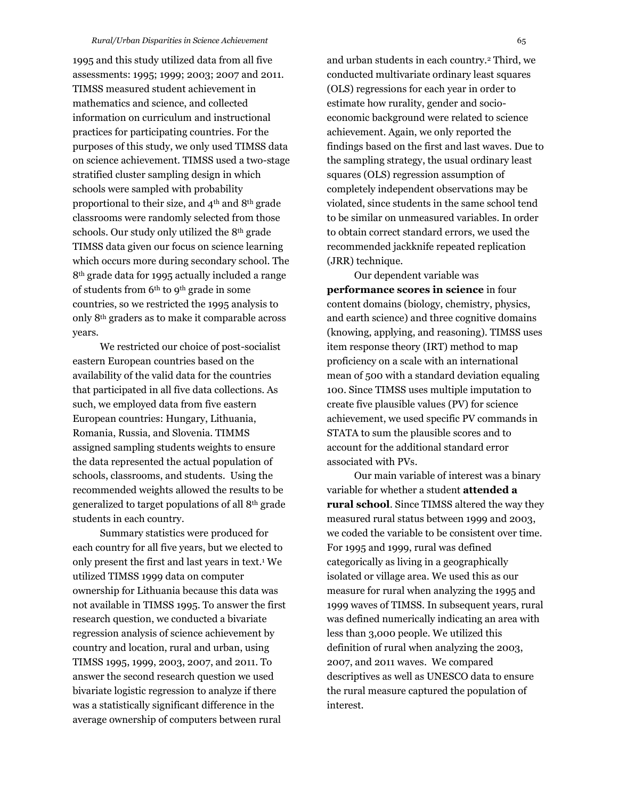1995 and this study utilized data from all five assessments: 1995; 1999; 2003; 2007 and 2011. TIMSS measured student achievement in mathematics and science, and collected information on curriculum and instructional practices for participating countries. For the purposes of this study, we only used TIMSS data on science achievement. TIMSS used a two-stage stratified cluster sampling design in which schools were sampled with probability proportional to their size, and 4th and 8th grade classrooms were randomly selected from those schools. Our study only utilized the 8th grade TIMSS data given our focus on science learning which occurs more during secondary school. The 8th grade data for 1995 actually included a range of students from 6th to 9th grade in some countries, so we restricted the 1995 analysis to only 8th graders as to make it comparable across years.

We restricted our choice of post-socialist eastern European countries based on the availability of the valid data for the countries that participated in all five data collections. As such, we employed data from five eastern European countries: Hungary, Lithuania, Romania, Russia, and Slovenia. TIMMS assigned sampling students weights to ensure the data represented the actual population of schools, classrooms, and students. Using the recommended weights allowed the results to be generalized to target populations of all 8th grade students in each country.

Summary statistics were produced for each country for all five years, but we elected to only present the first and last years in text. <sup>1</sup> We utilized TIMSS 1999 data on computer ownership for Lithuania because this data was not available in TIMSS 1995. To answer the first research question, we conducted a bivariate regression analysis of science achievement by country and location, rural and urban, using TIMSS 1995, 1999, 2003, 2007, and 2011. To answer the second research question we used bivariate logistic regression to analyze if there was a statistically significant difference in the average ownership of computers between rural

and urban students in each country.<sup>2</sup> Third, we conducted multivariate ordinary least squares (OLS) regressions for each year in order to estimate how rurality, gender and socioeconomic background were related to science achievement. Again, we only reported the findings based on the first and last waves. Due to the sampling strategy, the usual ordinary least squares (OLS) regression assumption of completely independent observations may be violated, since students in the same school tend to be similar on unmeasured variables. In order to obtain correct standard errors, we used the recommended jackknife repeated replication (JRR) technique.

Our dependent variable was **performance scores in science** in four content domains (biology, chemistry, physics, and earth science) and three cognitive domains (knowing, applying, and reasoning). TIMSS uses item response theory (IRT) method to map proficiency on a scale with an international mean of 500 with a standard deviation equaling 100. Since TIMSS uses multiple imputation to create five plausible values (PV) for science achievement, we used specific PV commands in STATA to sum the plausible scores and to account for the additional standard error associated with PVs.

Our main variable of interest was a binary variable for whether a student **attended a rural school**. Since TIMSS altered the way they measured rural status between 1999 and 2003, we coded the variable to be consistent over time. For 1995 and 1999, rural was defined categorically as living in a geographically isolated or village area. We used this as our measure for rural when analyzing the 1995 and 1999 waves of TIMSS. In subsequent years, rural was defined numerically indicating an area with less than 3,000 people. We utilized this definition of rural when analyzing the 2003, 2007, and 2011 waves. We compared descriptives as well as UNESCO data to ensure the rural measure captured the population of interest.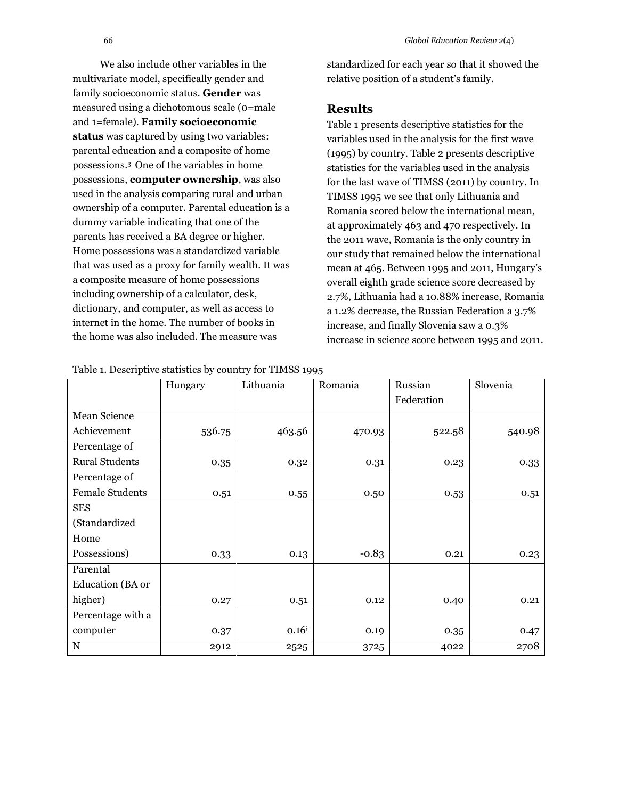We also include other variables in the multivariate model, specifically gender and family socioeconomic status. **Gender** was measured using a dichotomous scale (0=male and 1=female). **Family socioeconomic status** was captured by using two variables: parental education and a composite of home possessions.<sup>3</sup> One of the variables in home possessions, **computer ownership**, was also used in the analysis comparing rural and urban ownership of a computer. Parental education is a dummy variable indicating that one of the parents has received a BA degree or higher. Home possessions was a standardized variable that was used as a proxy for family wealth. It was a composite measure of home possessions including ownership of a calculator, desk, dictionary, and computer, as well as access to internet in the home. The number of books in the home was also included. The measure was

standardized for each year so that it showed the relative position of a student's family.

# **Results**

Table 1 presents descriptive statistics for the variables used in the analysis for the first wave (1995) by country. Table 2 presents descriptive statistics for the variables used in the analysis for the last wave of TIMSS (2011) by country. In TIMSS 1995 we see that only Lithuania and Romania scored below the international mean, at approximately 463 and 470 respectively. In the 2011 wave, Romania is the only country in our study that remained below the international mean at 465. Between 1995 and 2011, Hungary's overall eighth grade science score decreased by 2.7%, Lithuania had a 10.88% increase, Romania a 1.2% decrease, the Russian Federation a 3.7% increase, and finally Slovenia saw a 0.3% increase in science score between 1995 and 2011.

|                        | Hungary | Lithuania  | Romania | Russian    | Slovenia |
|------------------------|---------|------------|---------|------------|----------|
|                        |         |            |         | Federation |          |
| Mean Science           |         |            |         |            |          |
| Achievement            | 536.75  | 463.56     | 470.93  | 522.58     | 540.98   |
| Percentage of          |         |            |         |            |          |
| <b>Rural Students</b>  | 0.35    | 0.32       | 0.31    | 0.23       | 0.33     |
| Percentage of          |         |            |         |            |          |
| <b>Female Students</b> | 0.51    | 0.55       | 0.50    | 0.53       | 0.51     |
| <b>SES</b>             |         |            |         |            |          |
| (Standardized          |         |            |         |            |          |
| Home                   |         |            |         |            |          |
| Possessions)           | 0.33    | 0.13       | $-0.83$ | 0.21       | 0.23     |
| Parental               |         |            |         |            |          |
| Education (BA or       |         |            |         |            |          |
| higher)                | 0.27    | 0.51       | 0.12    | 0.40       | 0.21     |
| Percentage with a      |         |            |         |            |          |
| computer               | 0.37    | $0.16^{i}$ | 0.19    | 0.35       | 0.47     |
| N                      | 2912    | 2525       | 3725    | 4022       | 2708     |

Table 1. Descriptive statistics by country for TIMSS 1995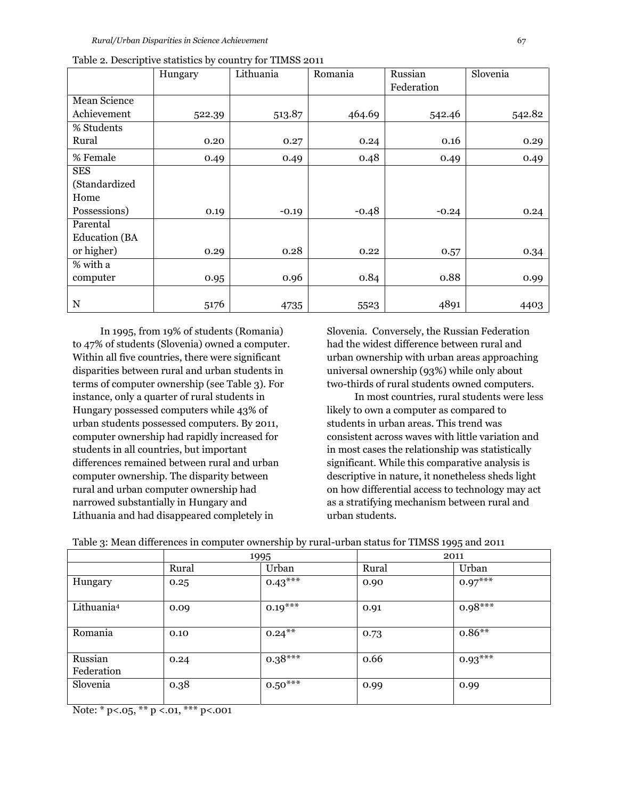|                      | Hungary | Lithuania | Romania | Russian<br>Federation | Slovenia |
|----------------------|---------|-----------|---------|-----------------------|----------|
|                      |         |           |         |                       |          |
| Mean Science         |         |           |         |                       |          |
| Achievement          | 522.39  | 513.87    | 464.69  | 542.46                | 542.82   |
| % Students           |         |           |         |                       |          |
| Rural                | 0.20    | 0.27      | 0.24    | 0.16                  | 0.29     |
| % Female             | 0.49    | 0.49      | 0.48    | 0.49                  | 0.49     |
| <b>SES</b>           |         |           |         |                       |          |
| (Standardized        |         |           |         |                       |          |
| Home                 |         |           |         |                       |          |
| Possessions)         | 0.19    | $-0.19$   | $-0.48$ | $-0.24$               | 0.24     |
| Parental             |         |           |         |                       |          |
| <b>Education</b> (BA |         |           |         |                       |          |
| or higher)           | 0.29    | 0.28      | 0.22    | 0.57                  | 0.34     |
| % with a             |         |           |         |                       |          |
| computer             | 0.95    | 0.96      | 0.84    | 0.88                  | 0.99     |
|                      |         |           |         |                       |          |
| $\mathbf N$          | 5176    | 4735      | 5523    | 4891                  | 4403     |

| Table 2. Descriptive statistics by country for TIMSS 2011 |  |  |  |
|-----------------------------------------------------------|--|--|--|
|                                                           |  |  |  |

In 1995, from 19% of students (Romania) to 47% of students (Slovenia) owned a computer. Within all five countries, there were significant disparities between rural and urban students in terms of computer ownership (see Table 3). For instance, only a quarter of rural students in Hungary possessed computers while 43% of urban students possessed computers. By 2011, computer ownership had rapidly increased for students in all countries, but important differences remained between rural and urban computer ownership. The disparity between rural and urban computer ownership had narrowed substantially in Hungary and Lithuania and had disappeared completely in

Slovenia. Conversely, the Russian Federation had the widest difference between rural and urban ownership with urban areas approaching universal ownership (93%) while only about two-thirds of rural students owned computers.

In most countries, rural students were less likely to own a computer as compared to students in urban areas. This trend was consistent across waves with little variation and in most cases the relationship was statistically significant. While this comparative analysis is descriptive in nature, it nonetheless sheds light on how differential access to technology may act as a stratifying mechanism between rural and urban students.

| $\tilde{}$             | $\overline{\phantom{a}}$ | $\sim$    |       | - - -     |  |
|------------------------|--------------------------|-----------|-------|-----------|--|
|                        |                          | 1995      | 2011  |           |  |
|                        | Rural                    | Urban     | Rural | Urban     |  |
| Hungary                | 0.25                     | $0.43***$ | 0.90  | $0.97***$ |  |
| Lithuania <sup>4</sup> | 0.09                     | $0.19***$ | 0.91  | $0.98***$ |  |
| Romania                | 0.10                     | $0.24***$ | 0.73  | $0.86**$  |  |
| Russian<br>Federation  | 0.24                     | $0.38***$ | 0.66  | $0.93***$ |  |
| Slovenia               | 0.38                     | $0.50***$ | 0.99  | 0.99      |  |

Table 3: Mean differences in computer ownership by rural-urban status for TIMSS 1995 and 2011

Note: \*  $p<sub>0.05</sub>$ , \*\*  $p<sub>0.01</sub>$ , \*\*\*  $p<sub>0.01</sub>$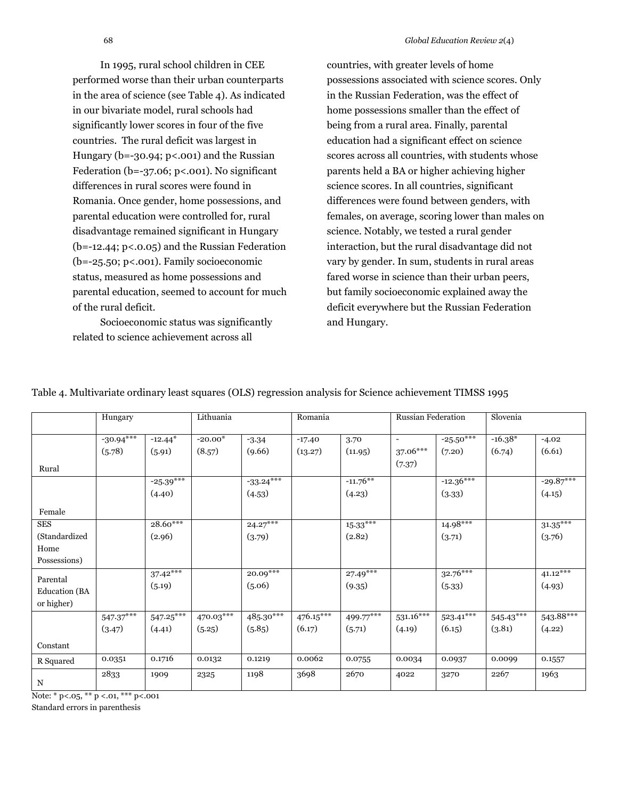In 1995, rural school children in CEE performed worse than their urban counterparts in the area of science (see Table 4). As indicated in our bivariate model, rural schools had significantly lower scores in four of the five countries. The rural deficit was largest in Hungary ( $b = -30.94$ ;  $p < .001$ ) and the Russian Federation ( $b=-37.06$ ;  $p<0.01$ ). No significant differences in rural scores were found in Romania. Once gender, home possessions, and parental education were controlled for, rural disadvantage remained significant in Hungary  $(b=-12.44; p<0.05)$  and the Russian Federation (b=-25.50; p<.001). Family socioeconomic status, measured as home possessions and parental education, seemed to account for much of the rural deficit.

Socioeconomic status was significantly related to science achievement across all

countries, with greater levels of home possessions associated with science scores. Only in the Russian Federation, was the effect of home possessions smaller than the effect of being from a rural area. Finally, parental education had a significant effect on science scores across all countries, with students whose parents held a BA or higher achieving higher science scores. In all countries, significant differences were found between genders, with females, on average, scoring lower than males on science. Notably, we tested a rural gender interaction, but the rural disadvantage did not vary by gender. In sum, students in rural areas fared worse in science than their urban peers, but family socioeconomic explained away the deficit everywhere but the Russian Federation and Hungary.

|                      | Hungary     |             | Lithuania |             | Romania   |             | Russian Federation       |             | Slovenia    |             |
|----------------------|-------------|-------------|-----------|-------------|-----------|-------------|--------------------------|-------------|-------------|-------------|
|                      |             |             |           |             |           |             |                          |             |             |             |
|                      | $-30.94***$ | $-12.44*$   | $-20.00*$ | $-3.34$     | $-17.40$  | 3.70        | $\overline{\phantom{a}}$ | $-25.50***$ | $-16.38*$   | $-4.02$     |
|                      | (5.78)      | (5.91)      | (8.57)    | (9.66)      | (13.27)   | (11.95)     | 37.06***                 | (7.20)      | (6.74)      | (6.61)      |
| Rural                |             |             |           |             |           |             | (7.37)                   |             |             |             |
|                      |             | $-25.39***$ |           | $-33.24***$ |           | $-11.76$ ** |                          | $-12.36***$ |             | $-29.87***$ |
|                      |             | (4.40)      |           | (4.53)      |           | (4.23)      |                          | (3.33)      |             | (4.15)      |
| Female               |             |             |           |             |           |             |                          |             |             |             |
| <b>SES</b>           |             | $28.60***$  |           | $24.27***$  |           | $15.33$ *** |                          | $14.98***$  |             | $31.35***$  |
| (Standardized)       |             | (2.96)      |           | (3.79)      |           | (2.82)      |                          | (3.71)      |             | (3.76)      |
| Home                 |             |             |           |             |           |             |                          |             |             |             |
| Possessions)         |             |             |           |             |           |             |                          |             |             |             |
| Parental             |             | $37.42***$  |           | $20.09***$  |           | $27.49***$  |                          | $32.76***$  |             | $41.12$ *** |
| <b>Education</b> (BA |             | (5.19)      |           | (5.06)      |           | (9.35)      |                          | (5.33)      |             | (4.93)      |
| or higher)           |             |             |           |             |           |             |                          |             |             |             |
|                      | $547.37***$ | $547.25***$ | 470.03*** | 485.30***   | 476.15*** | 499.77***   | $531.16***$              | $523.41***$ | $545.43***$ | 543.88***   |
|                      | (3.47)      | (4.41)      | (5.25)    | (5.85)      | (6.17)    | (5.71)      | (4.19)                   | (6.15)      | (3.81)      | (4.22)      |
| Constant             |             |             |           |             |           |             |                          |             |             |             |
| R Squared            | 0.0351      | 0.1716      | 0.0132    | 0.1219      | 0.0062    | 0.0755      | 0.0034                   | 0.0937      | 0.0099      | 0.1557      |
| N                    | 2833        | 1909        | 2325      | 1198        | 3698      | 2670        | 4022                     | 3270        | 2267        | 1963        |

Table 4. Multivariate ordinary least squares (OLS) regression analysis for Science achievement TIMSS 1995

Note: \* p<.05, \*\* p <.01, \*\*\* p<.001

Standard errors in parenthesis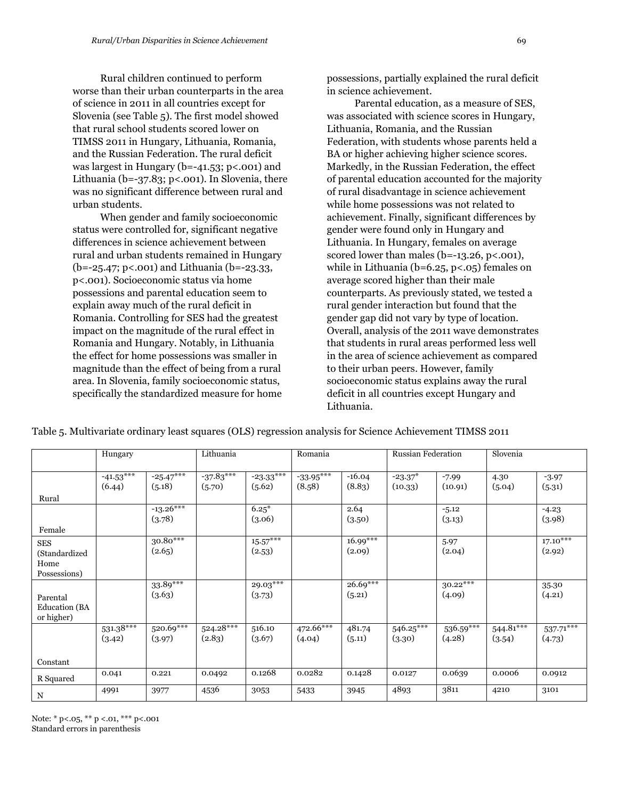Rural children continued to perform worse than their urban counterparts in the area of science in 2011 in all countries except for Slovenia (see Table 5). The first model showed that rural school students scored lower on TIMSS 2011 in Hungary, Lithuania, Romania, and the Russian Federation. The rural deficit was largest in Hungary (b=-41.53; p<.001) and Lithuania (b=-37.83; p<.001). In Slovenia, there was no significant difference between rural and urban students.

When gender and family socioeconomic status were controlled for, significant negative differences in science achievement between rural and urban students remained in Hungary (b=-25.47; p<.001) and Lithuania (b=-23.33, p<.001). Socioeconomic status via home possessions and parental education seem to explain away much of the rural deficit in Romania. Controlling for SES had the greatest impact on the magnitude of the rural effect in Romania and Hungary. Notably, in Lithuania the effect for home possessions was smaller in magnitude than the effect of being from a rural area. In Slovenia, family socioeconomic status, specifically the standardized measure for home possessions, partially explained the rural deficit in science achievement.

Parental education, as a measure of SES, was associated with science scores in Hungary, Lithuania, Romania, and the Russian Federation, with students whose parents held a BA or higher achieving higher science scores. Markedly, in the Russian Federation, the effect of parental education accounted for the majority of rural disadvantage in science achievement while home possessions was not related to achievement. Finally, significant differences by gender were found only in Hungary and Lithuania. In Hungary, females on average scored lower than males (b=-13.26, p<.001), while in Lithuania (b=6.25, p<.05) females on average scored higher than their male counterparts. As previously stated, we tested a rural gender interaction but found that the gender gap did not vary by type of location. Overall, analysis of the 2011 wave demonstrates that students in rural areas performed less well in the area of science achievement as compared to their urban peers. However, family socioeconomic status explains away the rural deficit in all countries except Hungary and Lithuania.

|                                                | Hungary               |                        | Lithuania             |                       | Romania               |                      | <b>Russian Federation</b> |                      | Slovenia              |                       |
|------------------------------------------------|-----------------------|------------------------|-----------------------|-----------------------|-----------------------|----------------------|---------------------------|----------------------|-----------------------|-----------------------|
|                                                | $-41.53***$<br>(6.44) | $-25.47***$<br>(5.18)  | $-37.83***$<br>(5.70) | $-23.33***$<br>(5.62) | $-33.95***$<br>(8.58) | $-16.04$<br>(8.83)   | $-23.37*$<br>(10.33)      | $-7.99$<br>(10.91)   | 4.30<br>(5.04)        | $-3.97$<br>(5.31)     |
| Rural                                          |                       |                        |                       |                       |                       |                      |                           |                      |                       |                       |
|                                                |                       | $-13.26***$<br>(3.78)  |                       | $6.25*$<br>(3.06)     |                       | 2.64<br>(3.50)       |                           | $-5.12$<br>(3.13)    |                       | $-4.23$<br>(3.98)     |
| Female                                         |                       |                        |                       |                       |                       |                      |                           |                      |                       |                       |
| <b>SES</b><br>(Standardized<br>Home            |                       | $30.80***$<br>(2.65)   |                       | $15.57***$<br>(2.53)  |                       | $16.99***$<br>(2.09) |                           | 5.97<br>(2.04)       |                       | $17.10***$<br>(2.92)  |
| Possessions)                                   |                       |                        |                       |                       |                       |                      |                           |                      |                       |                       |
| Parental<br><b>Education</b> (BA<br>or higher) |                       | $33.89***$<br>(3.63)   |                       | $29.03***$<br>(3.73)  |                       | $26.69***$<br>(5.21) |                           | $30.22***$<br>(4.09) |                       | 35.30<br>(4.21)       |
|                                                | $531.38***$<br>(3.42) | $520.69$ ***<br>(3.97) | $524.28***$<br>(2.83) | 516.10<br>(3.67)      | 472.66***<br>(4.04)   | 481.74<br>(5.11)     | $546.25***$<br>(3.30)     | 536.59***<br>(4.28)  | $544.81***$<br>(3.54) | $537.71***$<br>(4.73) |
| Constant                                       |                       |                        |                       |                       |                       |                      |                           |                      |                       |                       |
| R Squared                                      | 0.041                 | 0.221                  | 0.0492                | 0.1268                | 0.0282                | 0.1428               | 0.0127                    | 0.0639               | 0.0006                | 0.0912                |
| N                                              | 4991                  | 3977                   | 4536                  | 3053                  | 5433                  | 3945                 | 4893                      | 3811                 | 4210                  | 3101                  |

Table 5. Multivariate ordinary least squares (OLS) regression analysis for Science Achievement TIMSS 2011

Note: \* p<.05, \*\* p <.01, \*\*\* p<.001 Standard errors in parenthesis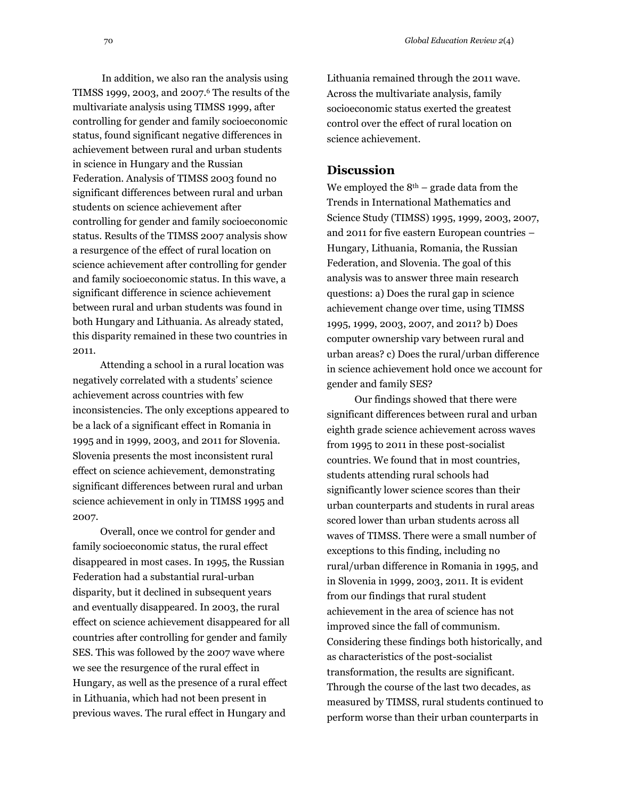In addition, we also ran the analysis using TIMSS 1999, 2003, and 2007. <sup>6</sup> The results of the multivariate analysis using TIMSS 1999, after controlling for gender and family socioeconomic status, found significant negative differences in achievement between rural and urban students in science in Hungary and the Russian Federation. Analysis of TIMSS 2003 found no significant differences between rural and urban students on science achievement after controlling for gender and family socioeconomic status. Results of the TIMSS 2007 analysis show a resurgence of the effect of rural location on science achievement after controlling for gender and family socioeconomic status. In this wave, a significant difference in science achievement between rural and urban students was found in both Hungary and Lithuania. As already stated, this disparity remained in these two countries in

2011. Attending a school in a rural location was negatively correlated with a students' science achievement across countries with few inconsistencies. The only exceptions appeared to be a lack of a significant effect in Romania in 1995 and in 1999, 2003, and 2011 for Slovenia. Slovenia presents the most inconsistent rural effect on science achievement, demonstrating significant differences between rural and urban science achievement in only in TIMSS 1995 and 2007.

Overall, once we control for gender and family socioeconomic status, the rural effect disappeared in most cases. In 1995, the Russian Federation had a substantial rural-urban disparity, but it declined in subsequent years and eventually disappeared. In 2003, the rural effect on science achievement disappeared for all countries after controlling for gender and family SES. This was followed by the 2007 wave where we see the resurgence of the rural effect in Hungary, as well as the presence of a rural effect in Lithuania, which had not been present in previous waves. The rural effect in Hungary and

Lithuania remained through the 2011 wave. Across the multivariate analysis, family socioeconomic status exerted the greatest control over the effect of rural location on science achievement.

### **Discussion**

We employed the  $8<sup>th</sup>$  – grade data from the Trends in International Mathematics and Science Study (TIMSS) 1995, 1999, 2003, 2007, and 2011 for five eastern European countries – Hungary, Lithuania, Romania, the Russian Federation, and Slovenia. The goal of this analysis was to answer three main research questions: a) Does the rural gap in science achievement change over time, using TIMSS 1995, 1999, 2003, 2007, and 2011? b) Does computer ownership vary between rural and urban areas? c) Does the rural/urban difference in science achievement hold once we account for gender and family SES?

Our findings showed that there were significant differences between rural and urban eighth grade science achievement across waves from 1995 to 2011 in these post-socialist countries. We found that in most countries, students attending rural schools had significantly lower science scores than their urban counterparts and students in rural areas scored lower than urban students across all waves of TIMSS. There were a small number of exceptions to this finding, including no rural/urban difference in Romania in 1995, and in Slovenia in 1999, 2003, 2011. It is evident from our findings that rural student achievement in the area of science has not improved since the fall of communism. Considering these findings both historically, and as characteristics of the post-socialist transformation, the results are significant. Through the course of the last two decades, as measured by TIMSS, rural students continued to perform worse than their urban counterparts in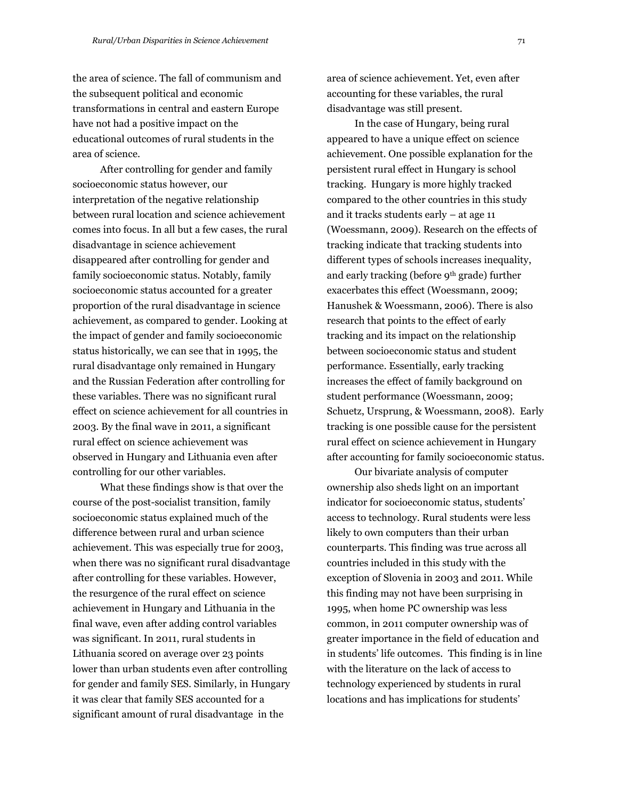the area of science. The fall of communism and the subsequent political and economic transformations in central and eastern Europe have not had a positive impact on the educational outcomes of rural students in the area of science.

After controlling for gender and family socioeconomic status however, our interpretation of the negative relationship between rural location and science achievement comes into focus. In all but a few cases, the rural disadvantage in science achievement disappeared after controlling for gender and family socioeconomic status. Notably, family socioeconomic status accounted for a greater proportion of the rural disadvantage in science achievement, as compared to gender. Looking at the impact of gender and family socioeconomic status historically, we can see that in 1995, the rural disadvantage only remained in Hungary and the Russian Federation after controlling for these variables. There was no significant rural effect on science achievement for all countries in 2003. By the final wave in 2011, a significant rural effect on science achievement was observed in Hungary and Lithuania even after controlling for our other variables.

What these findings show is that over the course of the post-socialist transition, family socioeconomic status explained much of the difference between rural and urban science achievement. This was especially true for 2003, when there was no significant rural disadvantage after controlling for these variables. However, the resurgence of the rural effect on science achievement in Hungary and Lithuania in the final wave, even after adding control variables was significant. In 2011, rural students in Lithuania scored on average over 23 points lower than urban students even after controlling for gender and family SES. Similarly, in Hungary it was clear that family SES accounted for a significant amount of rural disadvantage in the

area of science achievement. Yet, even after accounting for these variables, the rural disadvantage was still present.

In the case of Hungary, being rural appeared to have a unique effect on science achievement. One possible explanation for the persistent rural effect in Hungary is school tracking. Hungary is more highly tracked compared to the other countries in this study and it tracks students early – at age 11 (Woessmann, 2009). Research on the effects of tracking indicate that tracking students into different types of schools increases inequality, and early tracking (before 9th grade) further exacerbates this effect (Woessmann, 2009; Hanushek & Woessmann, 2006). There is also research that points to the effect of early tracking and its impact on the relationship between socioeconomic status and student performance. Essentially, early tracking increases the effect of family background on student performance (Woessmann, 2009; Schuetz, Ursprung, & Woessmann, 2008). Early tracking is one possible cause for the persistent rural effect on science achievement in Hungary after accounting for family socioeconomic status.

Our bivariate analysis of computer ownership also sheds light on an important indicator for socioeconomic status, students' access to technology. Rural students were less likely to own computers than their urban counterparts. This finding was true across all countries included in this study with the exception of Slovenia in 2003 and 2011. While this finding may not have been surprising in 1995, when home PC ownership was less common, in 2011 computer ownership was of greater importance in the field of education and in students' life outcomes. This finding is in line with the literature on the lack of access to technology experienced by students in rural locations and has implications for students'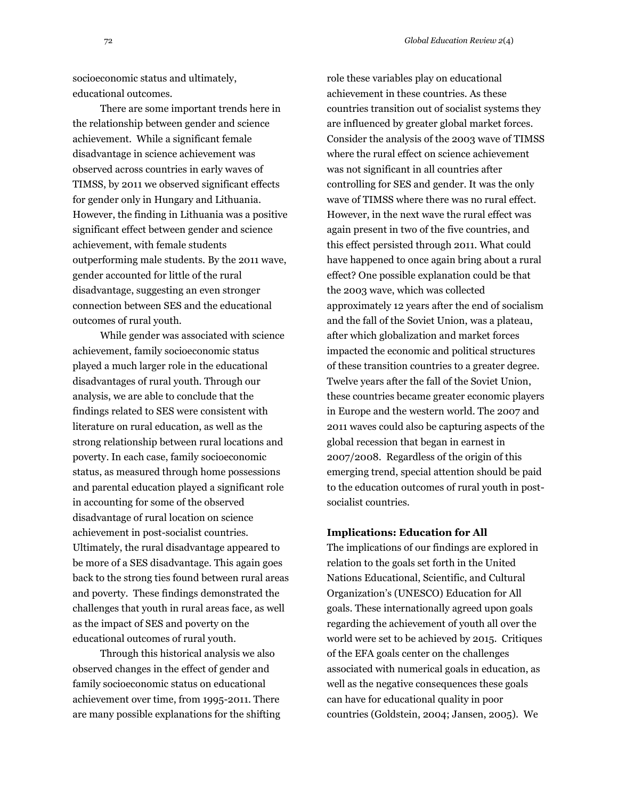socioeconomic status and ultimately, educational outcomes.

There are some important trends here in the relationship between gender and science achievement. While a significant female disadvantage in science achievement was observed across countries in early waves of TIMSS, by 2011 we observed significant effects for gender only in Hungary and Lithuania. However, the finding in Lithuania was a positive significant effect between gender and science achievement, with female students outperforming male students. By the 2011 wave, gender accounted for little of the rural disadvantage, suggesting an even stronger connection between SES and the educational outcomes of rural youth.

While gender was associated with science achievement, family socioeconomic status played a much larger role in the educational disadvantages of rural youth. Through our analysis, we are able to conclude that the findings related to SES were consistent with literature on rural education, as well as the strong relationship between rural locations and poverty. In each case, family socioeconomic status, as measured through home possessions and parental education played a significant role in accounting for some of the observed disadvantage of rural location on science achievement in post-socialist countries. Ultimately, the rural disadvantage appeared to be more of a SES disadvantage. This again goes back to the strong ties found between rural areas and poverty. These findings demonstrated the challenges that youth in rural areas face, as well as the impact of SES and poverty on the educational outcomes of rural youth.

Through this historical analysis we also observed changes in the effect of gender and family socioeconomic status on educational achievement over time, from 1995-2011. There are many possible explanations for the shifting role these variables play on educational achievement in these countries. As these countries transition out of socialist systems they are influenced by greater global market forces. Consider the analysis of the 2003 wave of TIMSS where the rural effect on science achievement was not significant in all countries after controlling for SES and gender. It was the only wave of TIMSS where there was no rural effect. However, in the next wave the rural effect was again present in two of the five countries, and this effect persisted through 2011. What could have happened to once again bring about a rural effect? One possible explanation could be that the 2003 wave, which was collected approximately 12 years after the end of socialism and the fall of the Soviet Union, was a plateau, after which globalization and market forces impacted the economic and political structures of these transition countries to a greater degree. Twelve years after the fall of the Soviet Union, these countries became greater economic players in Europe and the western world. The 2007 and 2011 waves could also be capturing aspects of the global recession that began in earnest in 2007/2008. Regardless of the origin of this emerging trend, special attention should be paid to the education outcomes of rural youth in postsocialist countries.

### **Implications: Education for All**

The implications of our findings are explored in relation to the goals set forth in the United Nations Educational, Scientific, and Cultural Organization's (UNESCO) Education for All goals. These internationally agreed upon goals regarding the achievement of youth all over the world were set to be achieved by 2015. Critiques of the EFA goals center on the challenges associated with numerical goals in education, as well as the negative consequences these goals can have for educational quality in poor countries (Goldstein, 2004; Jansen, 2005). We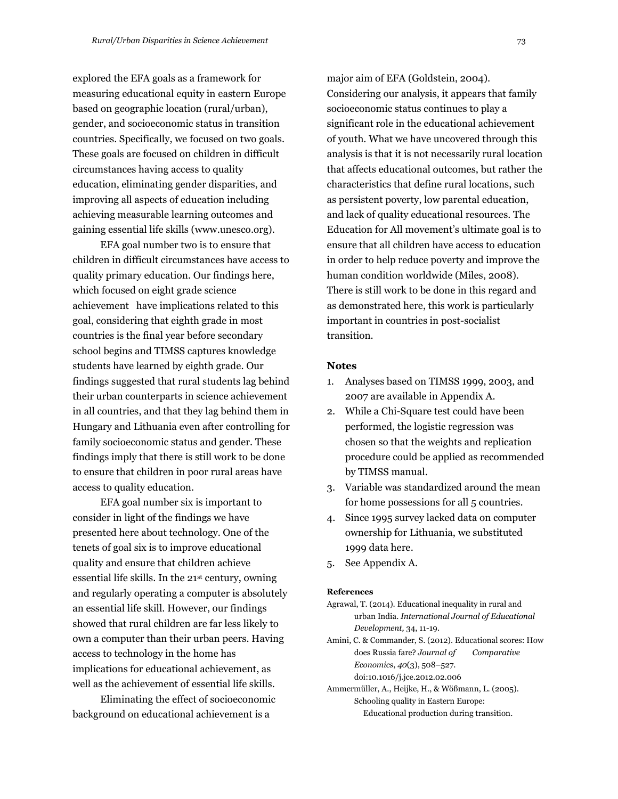explored the EFA goals as a framework for measuring educational equity in eastern Europe based on geographic location (rural/urban), gender, and socioeconomic status in transition countries. Specifically, we focused on two goals. These goals are focused on children in difficult circumstances having access to quality education, eliminating gender disparities, and improving all aspects of education including achieving measurable learning outcomes and gaining essential life skills (www.unesco.org).

EFA goal number two is to ensure that children in difficult circumstances have access to quality primary education. Our findings here, which focused on eight grade science achievement have implications related to this goal, considering that eighth grade in most countries is the final year before secondary school begins and TIMSS captures knowledge students have learned by eighth grade. Our findings suggested that rural students lag behind their urban counterparts in science achievement in all countries, and that they lag behind them in Hungary and Lithuania even after controlling for family socioeconomic status and gender. These findings imply that there is still work to be done to ensure that children in poor rural areas have access to quality education.

EFA goal number six is important to consider in light of the findings we have presented here about technology. One of the tenets of goal six is to improve educational quality and ensure that children achieve essential life skills. In the 21st century, owning and regularly operating a computer is absolutely an essential life skill. However, our findings showed that rural children are far less likely to own a computer than their urban peers. Having access to technology in the home has implications for educational achievement, as well as the achievement of essential life skills.

Eliminating the effect of socioeconomic background on educational achievement is a

major aim of EFA (Goldstein, 2004). Considering our analysis, it appears that family socioeconomic status continues to play a significant role in the educational achievement of youth. What we have uncovered through this analysis is that it is not necessarily rural location that affects educational outcomes, but rather the characteristics that define rural locations, such as persistent poverty, low parental education, and lack of quality educational resources. The Education for All movement's ultimate goal is to ensure that all children have access to education in order to help reduce poverty and improve the human condition worldwide (Miles, 2008). There is still work to be done in this regard and as demonstrated here, this work is particularly important in countries in post-socialist transition.

### **Notes**

- 1. Analyses based on TIMSS 1999, 2003, and 2007 are available in Appendix A.
- 2. While a Chi-Square test could have been performed, the logistic regression was chosen so that the weights and replication procedure could be applied as recommended by TIMSS manual.
- 3. Variable was standardized around the mean for home possessions for all 5 countries.
- 4. Since 1995 survey lacked data on computer ownership for Lithuania, we substituted 1999 data here.
- 5. See Appendix A.

#### **References**

- Agrawal, T. (2014). Educational inequality in rural and urban India. *International Journal of Educational Development,* 34, 11-19.
- Amini, C. & Commander, S. (2012). Educational scores: How does Russia fare? *Journal of Comparative Economics*, *40*(3), 508–527. doi:10.1016/j.jce.2012.02.006
- Ammermüller, A., Heijke, H., & Wößmann, L. (2005). Schooling quality in Eastern Europe: Educational production during transition.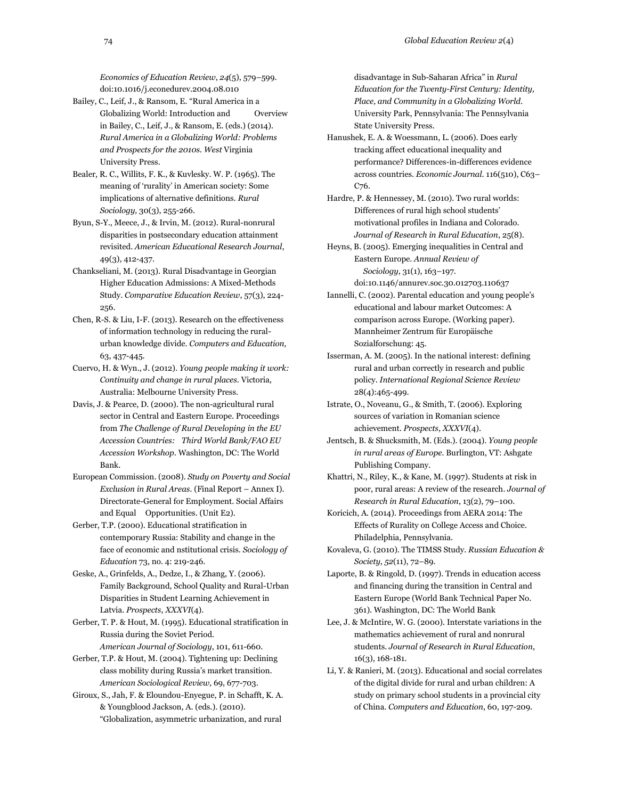*Economics of Education Review*, *24*(5), 579–599. doi:10.1016/j.econedurev.2004.08.010

- Bailey, C., Leif, J., & Ransom, E. "Rural America in a Globalizing World: Introduction and Overview in Bailey, C., Leif, J., & Ransom, E. (eds.) (2014). *Rural America in a Globalizing World: Problems and Prospects for the 2010s. West* Virginia University Press.
- Bealer, R. C., Willits, F. K., & Kuvlesky. W. P. (1965). The meaning of 'rurality' in American society: Some implications of alternative definitions. *Rural Sociology,* 30(3), 255-266.
- Byun, S-Y., Meece, J., & Irvin, M. (2012). Rural-nonrural disparities in postsecondary education attainment revisited. *American Educational Research Journal*, 49(3), 412-437.
- Chankseliani, M. (2013). Rural Disadvantage in Georgian Higher Education Admissions: A Mixed-Methods Study. *Comparative Education Review*, 57(3), 224- 256.
- Chen, R-S. & Liu, I-F. (2013). Research on the effectiveness of information technology in reducing the ruralurban knowledge divide. *Computers and Education,*  63, 437-445.
- Cuervo, H. & Wyn., J. (2012). *Young people making it work: Continuity and change in rural places.* Victoria, Australia: Melbourne University Press.
- Davis, J. & Pearce, D. (2000). The non-agricultural rural sector in Central and Eastern Europe. Proceedings from *The Challenge of Rural Developing in the EU Accession Countries: Third World Bank/FAO EU Accession Workshop.* Washington, DC: The World Bank.
- European Commission. (2008). *Study on Poverty and Social Exclusion in Rural Areas.* (Final Report – Annex I). Directorate-General for Employment. Social Affairs and Equal Opportunities. (Unit E2).
- Gerber, T.P. (2000). Educational stratification in contemporary Russia: Stability and change in the face of economic and nstitutional crisis. *Sociology of Education* 73, no. 4: 219-246.
- Geske, A., Grinfelds, A., Dedze, I., & Zhang, Y. (2006). Family Background, School Quality and Rural-Urban Disparities in Student Learning Achievement in Latvia. *Prospects*, *XXXVI*(4).
- Gerber, T. P. & Hout, M. (1995). Educational stratification in Russia during the Soviet Period. *American Journal of Sociology*, 101, 611-660.
- Gerber, T.P. & Hout, M. (2004). Tightening up: Declining class mobility during Russia's market transition. *American Sociological Review,* 69, 677-703.
- Giroux, S., Jah, F. & Eloundou-Enyegue, P. in Schafft, K. A. & Youngblood Jackson, A. (eds.). (2010). "Globalization, asymmetric urbanization, and rural

disadvantage in Sub-Saharan Africa" in *Rural Education for the Twenty-First Century: Identity, Place, and Community in a Globalizing World.*  University Park, Pennsylvania: The Pennsylvania State University Press.

- Hanushek, E. A. & Woessmann, L. (2006). Does early tracking affect educational inequality and performance? Differences-in-differences evidence across countries. *Economic Journal*. 116(510), C63– C<sub>76</sub>.
- Hardre, P. & Hennessey, M. (2010). Two rural worlds: Differences of rural high school students' motivational profiles in Indiana and Colorado. *Journal of Research in Rural Education*, 25(8).
- Heyns, B. (2005). Emerging inequalities in Central and Eastern Europe. *Annual Review of Sociology*, 31(1), 163–197.
	- doi:10.1146/annurev.soc.30.012703.110637
- Iannelli, C. (2002). Parental education and young people's educational and labour market Outcomes: A comparison across Europe. (Working paper). Mannheimer Zentrum für Europäische Sozialforschung: 45.
- Isserman, A. M. (2005). In the national interest: defining rural and urban correctly in research and public policy. *International Regional Science Review*  28(4):465-499.
- Istrate, O., Noveanu, G., & Smith, T. (2006). Exploring sources of variation in Romanian science achievement. *Prospects*, *XXXVI*(4).
- Jentsch, B. & Shucksmith, M. (Eds.). (2004). *Young people in rural areas of Europe.* Burlington, VT: Ashgate Publishing Company.
- Khattri, N., Riley, K., & Kane, M. (1997). Students at risk in poor, rural areas: A review of the research*. Journal of Research in Rural Education*, 13(2), 79–100.
- Koricich, A. (2014). Proceedings from AERA 2014: The Effects of Rurality on College Access and Choice. Philadelphia, Pennsylvania.
- Kovaleva, G. (2010). The TIMSS Study. *Russian Education & Society*, *52*(11), 72–89.
- Laporte, B. & Ringold, D. (1997). Trends in education access and financing during the transition in Central and Eastern Europe (World Bank Technical Paper No. 361). Washington, DC: The World Bank
- Lee, J. & McIntire, W. G. (2000). Interstate variations in the mathematics achievement of rural and nonrural students. *Journal of Research in Rural Education*, 16(3), 168-181.
- Li, Y. & Ranieri, M. (2013). Educational and social correlates of the digital divide for rural and urban children: A study on primary school students in a provincial city of China. *Computers and Education*, 60, 197-209.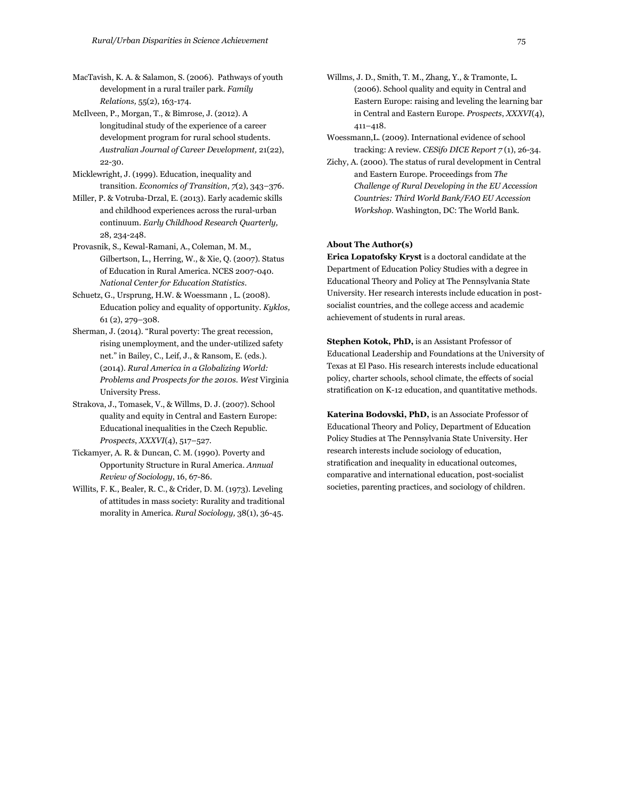MacTavish, K. A. & Salamon, S. (2006). Pathways of youth development in a rural trailer park. *Family Relations,* 55(2), 163-174.

McIlveen, P., Morgan, T., & Bimrose, J. (2012). A longitudinal study of the experience of a career development program for rural school students. *Australian Journal of Career Development,* 21(22), 22-30.

Micklewright, J. (1999). Education, inequality and transition. *Economics of Transition*, *7*(2), 343–376.

Miller, P. & Votruba-Drzal, E. (2013). Early academic skills and childhood experiences across the rural-urban continuum. *Early Childhood Research Quarterly,*  28, 234-248.

Provasnik, S., Kewal-Ramani, A., Coleman, M. M., Gilbertson, L., Herring, W., & Xie, Q. (2007). Status of Education in Rural America. NCES 2007-040. *National Center for Education Statistics.*

Schuetz, G., Ursprung, H.W. & Woessmann , L. (2008). Education policy and equality of opportunity. *Kyklos,* 61 (2), 279–308.

Sherman, J. (2014). "Rural poverty: The great recession, rising unemployment, and the under-utilized safety net." in Bailey, C., Leif, J., & Ransom, E. (eds.). (2014). *Rural America in a Globalizing World: Problems and Prospects for the 2010s. West* Virginia University Press.

Strakova, J., Tomasek, V., & Willms, D. J. (2007). School quality and equity in Central and Eastern Europe: Educational inequalities in the Czech Republic. *Prospects*, *XXXVI*(4), 517–527.

Tickamyer, A. R. & Duncan, C. M. (1990). Poverty and Opportunity Structure in Rural America. *Annual Review of Sociology*, 16, 67-86.

Willits, F. K., Bealer, R. C., & Crider, D. M. (1973). Leveling of attitudes in mass society: Rurality and traditional morality in America. *Rural Sociology,* 38(1), 36-45.

Willms, J. D., Smith, T. M., Zhang, Y., & Tramonte, L. (2006). School quality and equity in Central and Eastern Europe: raising and leveling the learning bar in Central and Eastern Europe. *Prospects*, *XXXVI*(4), 411–418.

Woessmann,L. (2009). International evidence of school tracking: A review. *CESifo DICE Report 7* (1), 26-34.

Zichy, A. (2000). The status of rural development in Central and Eastern Europe. Proceedings from *The Challenge of Rural Developing in the EU Accession Countries: Third World Bank/FAO EU Accession Workshop.* Washington, DC: The World Bank.

#### **About The Author(s)**

**Erica Lopatofsky Kryst** is a doctoral candidate at the Department of Education Policy Studies with a degree in Educational Theory and Policy at The Pennsylvania State University. Her research interests include education in postsocialist countries, and the college access and academic achievement of students in rural areas.

**Stephen Kotok, PhD,** is an Assistant Professor of Educational Leadership and Foundations at the University of Texas at El Paso. His research interests include educational policy, charter schools, school climate, the effects of social stratification on K-12 education, and quantitative methods.

**Katerina Bodovski, PhD,** is an Associate Professor of Educational Theory and Policy, Department of Education Policy Studies at The Pennsylvania State University. Her research interests include sociology of education, stratification and inequality in educational outcomes, comparative and international education, post-socialist societies, parenting practices, and sociology of children.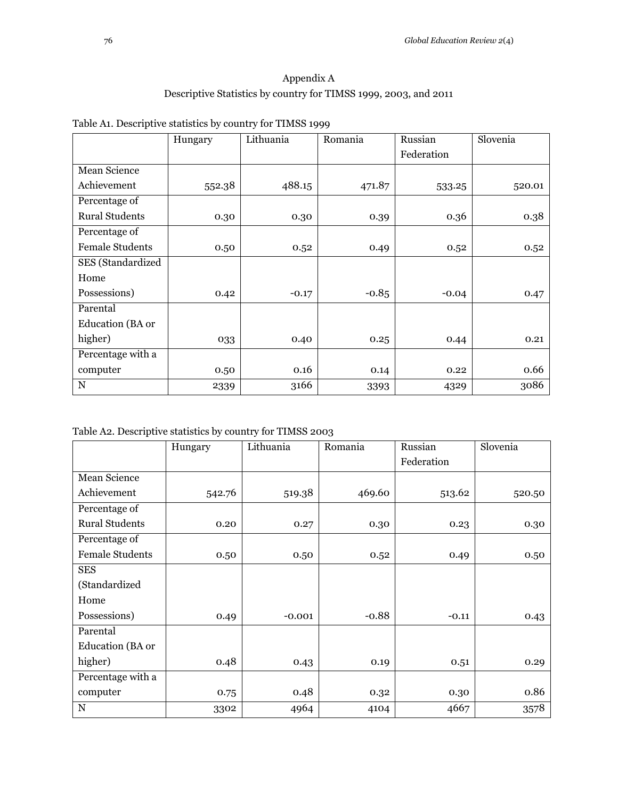# Appendix A Descriptive Statistics by country for TIMSS 1999, 2003, and 2011

|                        | Hungary | Lithuania | Romania | Russian    | Slovenia |
|------------------------|---------|-----------|---------|------------|----------|
|                        |         |           |         | Federation |          |
| Mean Science           |         |           |         |            |          |
| Achievement            | 552.38  | 488.15    | 471.87  | 533.25     | 520.01   |
| Percentage of          |         |           |         |            |          |
| <b>Rural Students</b>  | 0.30    | 0.30      | 0.39    | 0.36       | 0.38     |
| Percentage of          |         |           |         |            |          |
| <b>Female Students</b> | 0.50    | 0.52      | 0.49    | 0.52       | 0.52     |
| SES (Standardized      |         |           |         |            |          |
| Home                   |         |           |         |            |          |
| Possessions)           | 0.42    | $-0.17$   | $-0.85$ | $-0.04$    | 0.47     |
| Parental               |         |           |         |            |          |
| Education (BA or       |         |           |         |            |          |
| higher)                | 033     | 0.40      | 0.25    | 0.44       | 0.21     |
| Percentage with a      |         |           |         |            |          |
| computer               | 0.50    | 0.16      | 0.14    | 0.22       | 0.66     |
| N                      | 2339    | 3166      | 3393    | 4329       | 3086     |

| Table A1. Descriptive statistics by country for TIMSS 1999 |  |  |
|------------------------------------------------------------|--|--|
|                                                            |  |  |

Table A2. Descriptive statistics by country for TIMSS 2003

|                        | Hungary | Lithuania | Romania | Russian    | Slovenia |
|------------------------|---------|-----------|---------|------------|----------|
|                        |         |           |         | Federation |          |
| Mean Science           |         |           |         |            |          |
| Achievement            | 542.76  | 519.38    | 469.60  | 513.62     | 520.50   |
| Percentage of          |         |           |         |            |          |
| <b>Rural Students</b>  | 0.20    | 0.27      | 0.30    | 0.23       | 0.30     |
| Percentage of          |         |           |         |            |          |
| <b>Female Students</b> | 0.50    | 0.50      | 0.52    | 0.49       | 0.50     |
| <b>SES</b>             |         |           |         |            |          |
| (Standardized          |         |           |         |            |          |
| Home                   |         |           |         |            |          |
| Possessions)           | 0.49    | $-0.001$  | $-0.88$ | $-0.11$    | 0.43     |
| Parental               |         |           |         |            |          |
| Education (BA or       |         |           |         |            |          |
| higher)                | 0.48    | 0.43      | 0.19    | 0.51       | 0.29     |
| Percentage with a      |         |           |         |            |          |
| computer               | 0.75    | 0.48      | 0.32    | 0.30       | 0.86     |
| N                      | 3302    | 4964      | 4104    | 4667       | 3578     |